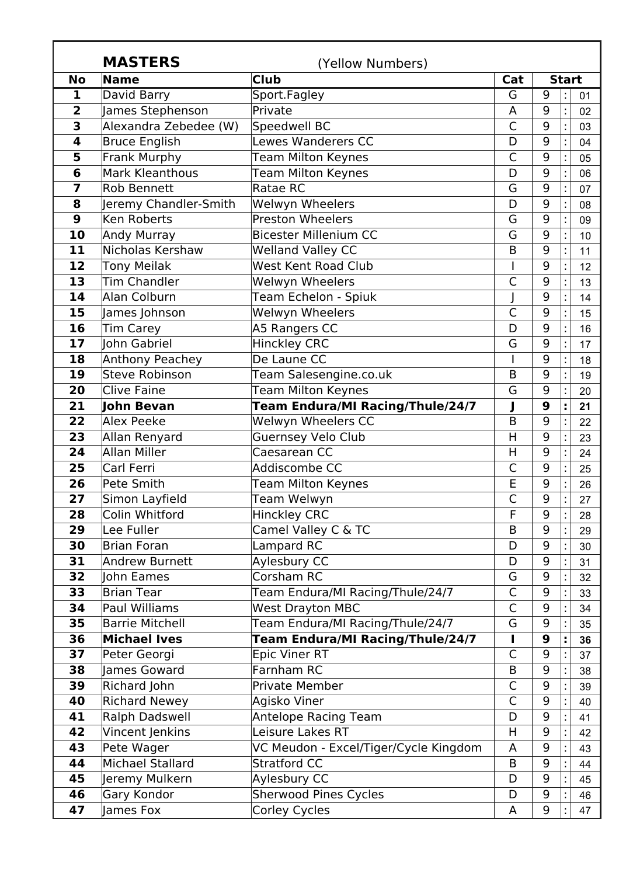|                  | <b>MASTERS</b>         | (Yellow Numbers)                        |                |              |  |    |
|------------------|------------------------|-----------------------------------------|----------------|--------------|--|----|
| <b>No</b>        | Name                   | <b>Club</b>                             | Cat            | <b>Start</b> |  |    |
| 1                | David Barry            | Sport.Fagley                            | G              | 9            |  | 01 |
| $\overline{2}$   | James Stephenson       | Private                                 | A              | 9            |  | 02 |
| 3                | Alexandra Zebedee (W)  | Speedwell BC                            | C              | 9            |  | 03 |
| 4                | <b>Bruce English</b>   | <b>Lewes Wanderers CC</b>               | D              | 9            |  | 04 |
| 5                | Frank Murphy           | <b>Team Milton Keynes</b>               | C              | 9            |  | 05 |
| 6                | Mark Kleanthous        | Team Milton Keynes                      | D              | 9            |  | 06 |
| 7                | <b>Rob Bennett</b>     | Ratae RC                                | G              | 9            |  | 07 |
| 8                | Jeremy Chandler-Smith  | <b>Welwyn Wheelers</b>                  | D              | 9            |  | 08 |
| $\boldsymbol{9}$ | <b>Ken Roberts</b>     | <b>Preston Wheelers</b>                 | G              | 9            |  | 09 |
| 10               | <b>Andy Murray</b>     | <b>Bicester Millenium CC</b>            | G              | 9            |  | 10 |
| 11               | Nicholas Kershaw       | <b>Welland Valley CC</b>                | B              | 9            |  | 11 |
| 12               | <b>Tony Meilak</b>     | <b>West Kent Road Club</b>              |                | 9            |  | 12 |
| 13               | <b>Tim Chandler</b>    | <b>Welwyn Wheelers</b>                  | $\mathsf{C}$   | 9            |  | 13 |
| 14               | Alan Colburn           | Team Echelon - Spiuk                    |                | 9            |  | 14 |
| 15               | James Johnson          | Welwyn Wheelers                         | $\overline{C}$ | 9            |  | 15 |
| 16               | <b>Tim Carey</b>       | A5 Rangers CC                           | D              | 9            |  | 16 |
| 17               | John Gabriel           | <b>Hinckley CRC</b>                     | G              | 9            |  | 17 |
| 18               | Anthony Peachey        | De Laune CC                             |                | 9            |  | 18 |
| 19               | <b>Steve Robinson</b>  | Team Salesengine.co.uk                  | B              | 9            |  | 19 |
| 20               | <b>Clive Faine</b>     | <b>Team Milton Keynes</b>               | G              | 9            |  | 20 |
| 21               | John Bevan             | <b>Team Endura/MI Racing/Thule/24/7</b> |                | 9            |  | 21 |
| 22               | Alex Peeke             | Welwyn Wheelers CC                      | B              | 9            |  | 22 |
| 23               | Allan Renyard          | <b>Guernsey Velo Club</b>               | H              | 9            |  | 23 |
| 24               | Allan Miller           | Caesarean CC                            | H              | 9            |  | 24 |
| 25               | Carl Ferri             | Addiscombe CC                           | $\mathsf{C}$   | 9            |  | 25 |
| 26               | Pete Smith             | <b>Team Milton Keynes</b>               | E              | 9            |  | 26 |
| 27               | Simon Layfield         | Team Welwyn                             | $\mathsf{C}$   | 9            |  | 27 |
| 28               | Colin Whitford         | <b>Hinckley CRC</b>                     | F              | 9            |  | 28 |
| 29               | Lee Fuller             | Camel Valley C & TC                     | B              | 9            |  | 29 |
| 30               | <b>Brian Foran</b>     | Lampard RC                              | D              | 9            |  | 30 |
| 31               | Andrew Burnett         | Aylesbury CC                            | D              | 9            |  | 31 |
| 32               | John Eames             | Corsham RC                              | G              | 9            |  | 32 |
| 33               | <b>Brian Tear</b>      | Team Endura/MI Racing/Thule/24/7        | $\mathsf{C}$   | 9            |  | 33 |
| 34               | <b>Paul Williams</b>   | <b>West Drayton MBC</b>                 | C              | 9            |  | 34 |
| 35               | <b>Barrie Mitchell</b> | Team Endura/MI Racing/Thule/24/7        | G              | 9            |  | 35 |
| 36               | <b>Michael Ives</b>    | Team Endura/MI Racing/Thule/24/7        |                | 9            |  | 36 |
| 37               | Peter Georgi           | <b>Epic Viner RT</b>                    | $\mathsf{C}$   | 9            |  | 37 |
| 38               | James Goward           | Farnham RC                              | B              | 9            |  | 38 |
| 39               | Richard John           | Private Member                          | $\mathsf{C}$   | 9            |  | 39 |
| 40               | <b>Richard Newey</b>   | Agisko Viner                            | $\mathsf{C}$   | 9            |  | 40 |
| 41               | Ralph Dadswell         | <b>Antelope Racing Team</b>             | D              | 9            |  | 41 |
| 42               | Vincent Jenkins        | Leisure Lakes RT                        | H              | 9            |  | 42 |
| 43               | Pete Wager             | VC Meudon - Excel/Tiger/Cycle Kingdom   | A              | 9            |  | 43 |
| 44               | Michael Stallard       | <b>Stratford CC</b>                     | B              | 9            |  | 44 |
| 45               | Jeremy Mulkern         | Aylesbury CC                            | D              | 9            |  | 45 |
| 46               | Gary Kondor            | <b>Sherwood Pines Cycles</b>            | D              | 9            |  | 46 |
| 47               | James Fox              | <b>Corley Cycles</b>                    | A              | 9            |  | 47 |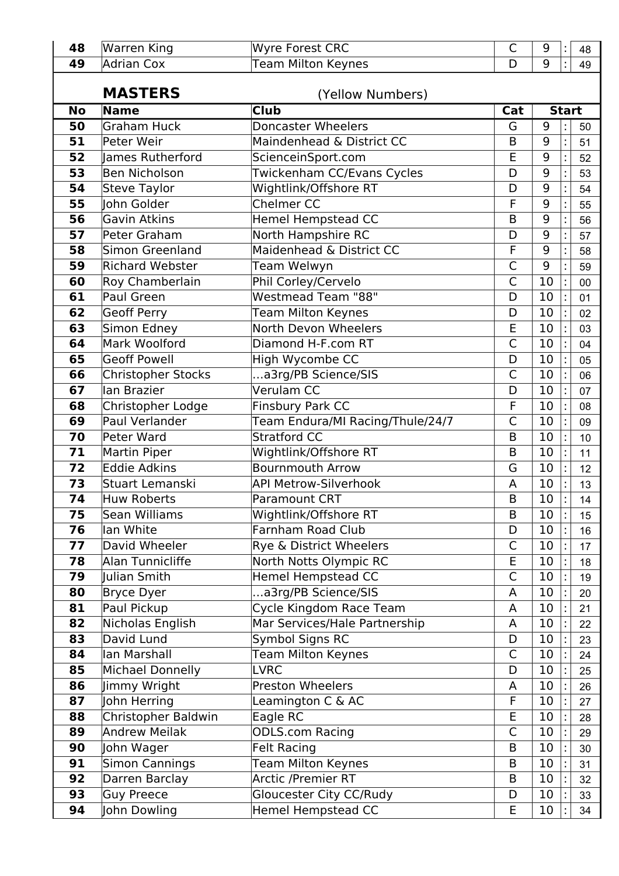| 48        | <b>Warren King</b>                 | Wyre Forest CRC                  | $\mathsf{C}$   | 9                   |  | 48 |  |  |
|-----------|------------------------------------|----------------------------------|----------------|---------------------|--|----|--|--|
| 49        | <b>Adrian Cox</b>                  | <b>Team Milton Keynes</b>        | D              | 9                   |  | 49 |  |  |
|           | <b>MASTERS</b><br>(Yellow Numbers) |                                  |                |                     |  |    |  |  |
| <b>No</b> | Name                               | <b>Club</b>                      |                | Cat<br><b>Start</b> |  |    |  |  |
| 50        | <b>Graham Huck</b>                 | <b>Doncaster Wheelers</b>        | G              | 9                   |  | 50 |  |  |
| 51        | Peter Weir                         | Maindenhead & District CC        | B              | 9                   |  | 51 |  |  |
| 52        | James Rutherford                   | ScienceinSport.com               | E              | 9                   |  | 52 |  |  |
| 53        | <b>Ben Nicholson</b>               | Twickenham CC/Evans Cycles       | D              | 9                   |  | 53 |  |  |
| 54        | <b>Steve Taylor</b>                | Wightlink/Offshore RT            | D              | 9                   |  | 54 |  |  |
| 55        | John Golder                        | <b>Chelmer CC</b>                | F              | 9                   |  | 55 |  |  |
| 56        | <b>Gavin Atkins</b>                | <b>Hemel Hempstead CC</b>        | $\mathsf B$    | 9                   |  | 56 |  |  |
| 57        | Peter Graham                       | North Hampshire RC               | D              | 9                   |  | 57 |  |  |
| 58        | <b>Simon Greenland</b>             | Maidenhead & District CC         | F              | 9                   |  | 58 |  |  |
| 59        | <b>Richard Webster</b>             | Team Welwyn                      | $\overline{C}$ | 9                   |  | 59 |  |  |
| 60        | Roy Chamberlain                    | Phil Corley/Cervelo              | $\overline{C}$ | 10                  |  | 00 |  |  |
| 61        | Paul Green                         | Westmead Team "88"               | D              | 10                  |  | 01 |  |  |
| 62        | <b>Geoff Perry</b>                 | <b>Team Milton Keynes</b>        | D              | 10                  |  | 02 |  |  |
| 63        | Simon Edney                        | North Devon Wheelers             | E              | 10                  |  | 03 |  |  |
| 64        | Mark Woolford                      | Diamond H-F.com RT               | $\mathsf{C}$   | 10                  |  | 04 |  |  |
| 65        | <b>Geoff Powell</b>                | High Wycombe CC                  | D              | 10                  |  | 05 |  |  |
| 66        | <b>Christopher Stocks</b>          | a3rg/PB Science/SIS              | $\mathsf{C}$   | 10                  |  | 06 |  |  |
| 67        | lan Brazier                        | Verulam CC                       | D              | 10                  |  | 07 |  |  |
| 68        | Christopher Lodge                  | Finsbury Park CC                 | F              | 10                  |  | 08 |  |  |
| 69        | Paul Verlander                     | Team Endura/MI Racing/Thule/24/7 | C              | 10                  |  | 09 |  |  |
| 70        | Peter Ward                         | <b>Stratford CC</b>              | B              | 10                  |  | 10 |  |  |
| 71        | <b>Martin Piper</b>                | Wightlink/Offshore RT            | B              | 10                  |  | 11 |  |  |
| 72        | <b>Eddie Adkins</b>                | <b>Bournmouth Arrow</b>          | G              | 10                  |  | 12 |  |  |
| 73        | Stuart Lemanski                    | <b>API Metrow-Silverhook</b>     | A              | 10                  |  | 13 |  |  |
| 74        | <b>Huw Roberts</b>                 | <b>Paramount CRT</b>             | B              | 10                  |  | 14 |  |  |
| 75        | Sean Williams                      | Wightlink/Offshore RT            | B              | 10                  |  | 15 |  |  |
| 76        | lan White                          | Farnham Road Club                | D              | 10                  |  | 16 |  |  |
| 77        | David Wheeler                      | Rye & District Wheelers          | C              | 10                  |  | 17 |  |  |
| 78        | Alan Tunnicliffe                   | North Notts Olympic RC           | E              | 10                  |  | 18 |  |  |
| 79        | Julian Smith                       | <b>Hemel Hempstead CC</b>        | $\mathsf{C}$   | 10                  |  | 19 |  |  |
| 80        | <b>Bryce Dyer</b>                  | a3rg/PB Science/SIS              | A              | 10                  |  | 20 |  |  |
| 81        | Paul Pickup                        | Cycle Kingdom Race Team          | A              | 10                  |  | 21 |  |  |
| 82        | Nicholas English                   | Mar Services/Hale Partnership    | A              | 10                  |  | 22 |  |  |
| 83        | David Lund                         | Symbol Signs RC                  | D              | 10                  |  | 23 |  |  |
| 84        | Ian Marshall                       | Team Milton Keynes               | $\mathsf{C}$   | 10                  |  | 24 |  |  |
| 85        | Michael Donnelly                   | <b>LVRC</b>                      | D              | 10                  |  | 25 |  |  |
| 86        | Jimmy Wright                       | <b>Preston Wheelers</b>          | A              | 10                  |  | 26 |  |  |
| 87        | John Herring                       | Leamington C & AC                | F              | 10                  |  | 27 |  |  |
| 88        | Christopher Baldwin                | Eagle RC                         | E              | 10                  |  | 28 |  |  |
| 89        | <b>Andrew Meilak</b>               | <b>ODLS.com Racing</b>           | $\mathsf{C}$   | 10                  |  | 29 |  |  |
| 90        | John Wager                         | <b>Felt Racing</b>               | B              | 10                  |  | 30 |  |  |
| 91        | <b>Simon Cannings</b>              | <b>Team Milton Keynes</b>        | B              | 10                  |  | 31 |  |  |
| 92        | Darren Barclay                     | <b>Arctic /Premier RT</b>        | B              | 10                  |  | 32 |  |  |
| 93        | <b>Guy Preece</b>                  | Gloucester City CC/Rudy          | D              | 10                  |  | 33 |  |  |
| 94        | John Dowling                       | <b>Hemel Hempstead CC</b>        | E              | 10                  |  | 34 |  |  |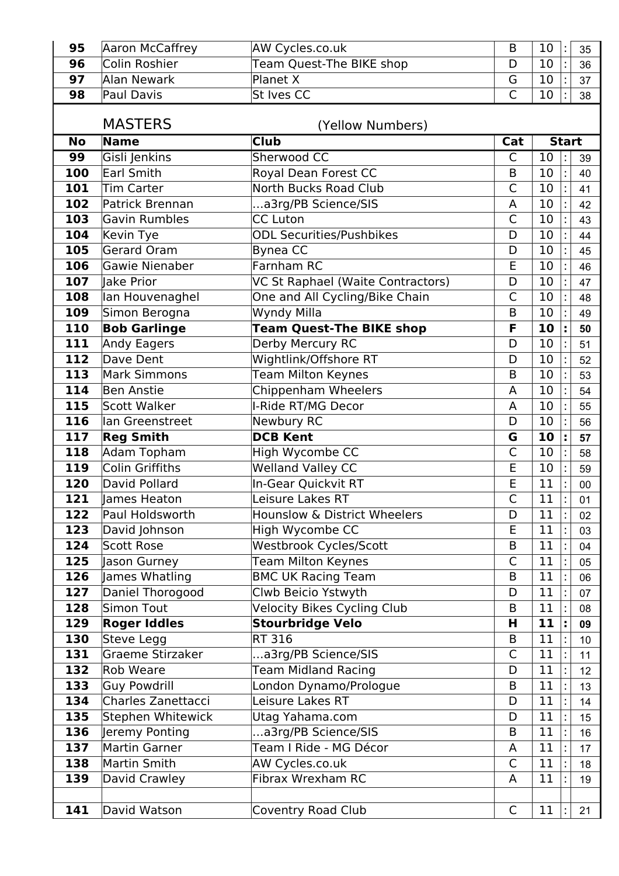| 95         | Aaron McCaffrey                       | AW Cycles.co.uk                                           | B              | 10           |    | 35       |
|------------|---------------------------------------|-----------------------------------------------------------|----------------|--------------|----|----------|
| 96         | Colin Roshier                         | Team Quest-The BIKE shop                                  | D              | 10           |    | 36       |
| 97         | Alan Newark                           | Planet X                                                  | G              | 10           |    | 37       |
| 98         | <b>Paul Davis</b>                     | <b>St Ives CC</b>                                         | $\mathsf{C}$   | 10           |    | 38       |
|            |                                       |                                                           |                |              |    |          |
|            | <b>MASTERS</b><br>(Yellow Numbers)    |                                                           |                |              |    |          |
| <b>No</b>  | <b>Name</b>                           | <b>Club</b>                                               | Cat            | <b>Start</b> |    |          |
| 99         | Gisli Jenkins                         | Sherwood CC                                               | C              | 10           |    | 39       |
| 100        | <b>Earl Smith</b>                     | Royal Dean Forest CC                                      | B              | 10           |    | 40       |
| 101        | <b>Tim Carter</b>                     | North Bucks Road Club                                     | $\mathsf{C}$   | 10           |    | 41       |
| 102        | Patrick Brennan                       | a3rg/PB Science/SIS                                       | A              | 10           |    | 42       |
| 103        | <b>Gavin Rumbles</b>                  | <b>CC Luton</b>                                           | $\overline{C}$ | 10           |    | 43       |
| 104        | Kevin Tye                             | <b>ODL Securities/Pushbikes</b>                           | D              | 10           |    | 44       |
| 105        | <b>Gerard Oram</b>                    | Bynea CC                                                  | D              | 10           |    | 45       |
| 106        | Gawie Nienaber                        | Farnham RC                                                | E              | 10           |    | 46       |
| 107        | lake Prior                            | VC St Raphael (Waite Contractors)                         | D              | 10           |    | 47       |
| 108        | lan Houvenaghel                       | One and All Cycling/Bike Chain                            | C              | 10           |    | 48       |
| 109        | Simon Berogna                         | <b>Wyndy Milla</b>                                        | B              | 10           |    | 49       |
| 110        | <b>Bob Garlinge</b>                   | <b>Team Quest-The BIKE shop</b>                           | F              | 10           |    | 50       |
| 111        | <b>Andy Eagers</b>                    | Derby Mercury RC                                          | D              | 10           |    | 51       |
| 112        | Dave Dent                             | Wightlink/Offshore RT                                     | D              | 10           |    | 52       |
| 113        | <b>Mark Simmons</b>                   | <b>Team Milton Keynes</b>                                 | B              | 10           |    | 53       |
| 114        | <b>Ben Anstie</b>                     | Chippenham Wheelers                                       | A              | 10           |    | 54       |
| 115        | <b>Scott Walker</b>                   | I-Ride RT/MG Decor                                        | A              | 10           |    | 55       |
| 116        | lan Greenstreet                       | Newbury RC                                                | D              | 10           |    | 56       |
| 117        | <b>Reg Smith</b>                      | <b>DCB Kent</b>                                           | G              | 10           |    | 57       |
| 118        | Adam Topham                           | High Wycombe CC                                           | $\mathsf{C}$   | 10           |    | 58       |
| 119        | <b>Colin Griffiths</b>                | <b>Welland Valley CC</b>                                  | E              | 10           |    | 59       |
| 120        | David Pollard                         | In-Gear Quickvit RT                                       | E              | 11           |    | $00\,$   |
| 121        | James Heaton                          | Leisure Lakes RT                                          | $\mathsf{C}$   | 11           |    | 01       |
| 122        | Paul Holdsworth                       | Hounslow & District Wheelers                              | D<br>E         | 11           | t  | 02       |
| 123        | David Johnson                         | High Wycombe CC                                           |                | 11           |    | 03       |
| 124        | <b>Scott Rose</b>                     | Westbrook Cycles/Scott                                    | B              | 11<br>11     |    | 04       |
| 125        | Jason Gurney                          | <b>Team Milton Keynes</b>                                 | $\mathsf{C}$   |              |    | 05       |
| 126<br>127 | James Whatling                        | <b>BMC UK Racing Team</b>                                 | B              | 11<br>11     |    | 06       |
| 128        | Daniel Thorogood<br><b>Simon Tout</b> | Clwb Beicio Ystwyth<br><b>Velocity Bikes Cycling Club</b> | D<br>B         | 11           |    | 07       |
| 129        |                                       | <b>Stourbridge Velo</b>                                   | н              | 11           | t, | 08       |
| 130        | <b>Roger Iddles</b><br>Steve Legg     | RT 316                                                    | B              | 11           |    | 09       |
| 131        | Graeme Stirzaker                      | a3rg/PB Science/SIS                                       | C              | 11           |    | 10<br>11 |
| 132        | <b>Rob Weare</b>                      | <b>Team Midland Racing</b>                                | D              | 11           |    | 12       |
| 133        | <b>Guy Powdrill</b>                   | London Dynamo/Prologue                                    | B              | 11           |    | 13       |
| 134        | Charles Zanettacci                    | Leisure Lakes RT                                          | D              | 11           |    |          |
| 135        | Stephen Whitewick                     | Utag Yahama.com                                           | D              | 11           |    | 14<br>15 |
| 136        | Jeremy Ponting                        | a3rg/PB Science/SIS                                       | B              | 11           |    | 16       |
| 137        | <b>Martin Garner</b>                  | Team I Ride - MG Décor                                    | A              | 11           |    | 17       |
| 138        | <b>Martin Smith</b>                   | AW Cycles.co.uk                                           | C              | 11           |    | 18       |
| 139        |                                       | Fibrax Wrexham RC                                         | A              | 11           |    | 19       |
|            |                                       |                                                           |                |              |    |          |
|            | David Crawley                         |                                                           |                |              |    |          |